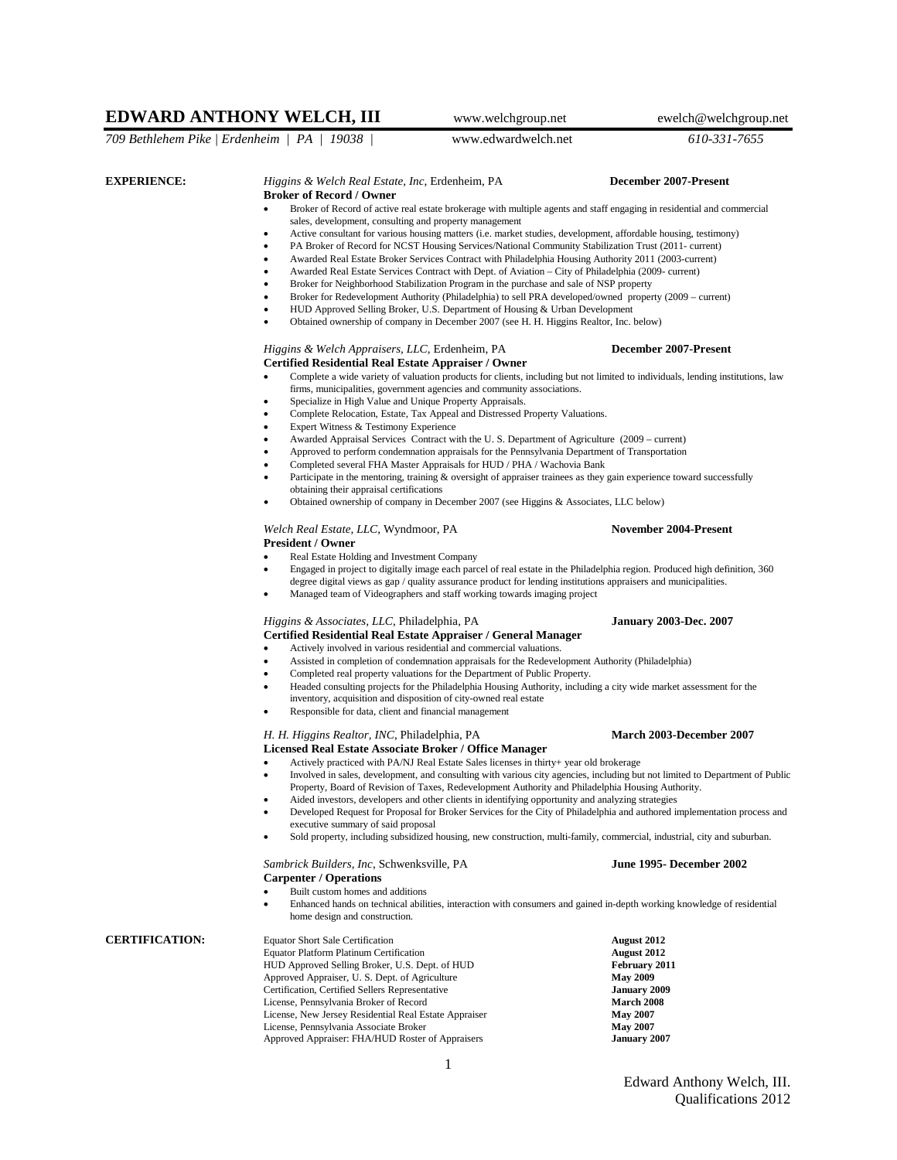# **EDWARD ANTHONY WELCH, III** www.welchgroup.net ewelch@welchgroup.net

*709 Bethlehem Pike | Erdenheim | PA | 19038 |* www.edwardwelch.net *610-331-7655*

## **EXPERIENCE:** *Higgins & Welch Real Estate, Inc*, Erdenheim, PA **December 2007-Present**

### **Broker of Record / Owner**

- Broker of Record of active real estate brokerage with multiple agents and staff engaging in residential and commercial sales, development, consulting and property management
- Active consultant for various housing matters (i.e. market studies, development, affordable housing, testimony)
- PA Broker of Record for NCST Housing Services/National Community Stabilization Trust (2011- current)
- Awarded Real Estate Broker Services Contract with Philadelphia Housing Authority 2011 (2003-current)
- Awarded Real Estate Services Contract with Dept. of Aviation City of Philadelphia (2009- current)
- Broker for Neighborhood Stabilization Program in the purchase and sale of NSP property
- Broker for Redevelopment Authority (Philadelphia) to sell PRA developed/owned property (2009 current)
- HUD Approved Selling Broker, U.S. Department of Housing & Urban Development
- Obtained ownership of company in December 2007 (see H. H. Higgins Realtor, Inc. below)

### *Higgins & Welch Appraisers, LLC*, Erdenheim, PA **December 2007-Present Certified Residential Real Estate Appraiser / Owner**

- Complete a wide variety of valuation products for clients, including but not limited to individuals, lending institutions, law firms, municipalities, government agencies and community associations.
	- Specialize in High Value and Unique Property Appraisals.
- Complete Relocation, Estate, Tax Appeal and Distressed Property Valuations.
- Expert Witness & Testimony Experience
- Awarded Appraisal Services Contract with the U. S. Department of Agriculture (2009 current)
- Approved to perform condemnation appraisals for the Pennsylvania Department of Transportation
	- Completed several FHA Master Appraisals for HUD / PHA / Wachovia Bank
- Participate in the mentoring, training & oversight of appraiser trainees as they gain experience toward successfully obtaining their appraisal certifications
- Obtained ownership of company in December 2007 (see Higgins & Associates, LLC below)

### Welch Real Estate, LLC, Wyndmoor, PA **November 2004-Present President / Owner**

- Real Estate Holding and Investment Company
- Engaged in project to digitally image each parcel of real estate in the Philadelphia region. Produced high definition, 360
	- degree digital views as gap / quality assurance product for lending institutions appraisers and municipalities.
- Managed team of Videographers and staff working towards imaging project

# *Higgins & Associates, LLC*, Philadelphia, PA **January 2003-Dec. 2007**

## **Certified Residential Real Estate Appraiser / General Manager**

- Assisted in completion of condemnation appraisals for the Redevelopment Authority (Philadelphia)
- Completed real property valuations for the Department of Public Property.
- Headed consulting projects for the Philadelphia Housing Authority, including a city wide market assessment for the inventory, acquisition and disposition of city-owned real estate
- Responsible for data, client and financial management

### *H. H. Higgins Realtor, INC*, Philadelphia, PA **March 2003-December 2007 Licensed Real Estate Associate Broker / Office Manager**

- Actively practiced with PA/NJ Real Estate Sales licenses in thirty+ year old brokerage
- Involved in sales, development, and consulting with various city agencies, including but not limited to Department of Public Property, Board of Revision of Taxes, Redevelopment Authority and Philadelphia Housing Authority.
- Aided investors, developers and other clients in identifying opportunity and analyzing strategies
- Developed Request for Proposal for Broker Services for the City of Philadelphia and authored implementation process and executive summary of said proposal
- Sold property, including subsidized housing, new construction, multi-family, commercial, industrial, city and suburban.

### *Sambrick Builders, Inc*, Schwenksville, PA **June 1995- December 2002 Carpenter / Operations**

- 
- Built custom homes and additions
- Enhanced hands on technical abilities, interaction with consumers and gained in-depth working knowledge of residential home design and construction.

**CERTIFICATION:** Equator Short Sale Certification **August 2012**<br>Equator Platform Platinum Certification **August 2012 Equator Platform Platinum Certification** HUD Approved Selling Broker, U.S. Dept. of HUD **February 2011** Approved Appraiser, U. S. Dept. of Agriculture **May 2009**<br>Certification, Certified Sellers Representative **January 2009** Certification, Certified Sellers Representative **January 2009** License, Pennsylvania Broker of Record **March 2008** License, New Jersey Residential Real Estate Appraiser License, Pennsylvania Associate Broker **May 2007** Approved Appraiser: FHA/HUD Roster of Appraisers **January 2007**

1

- 
- Actively involved in various residential and commercial valuations.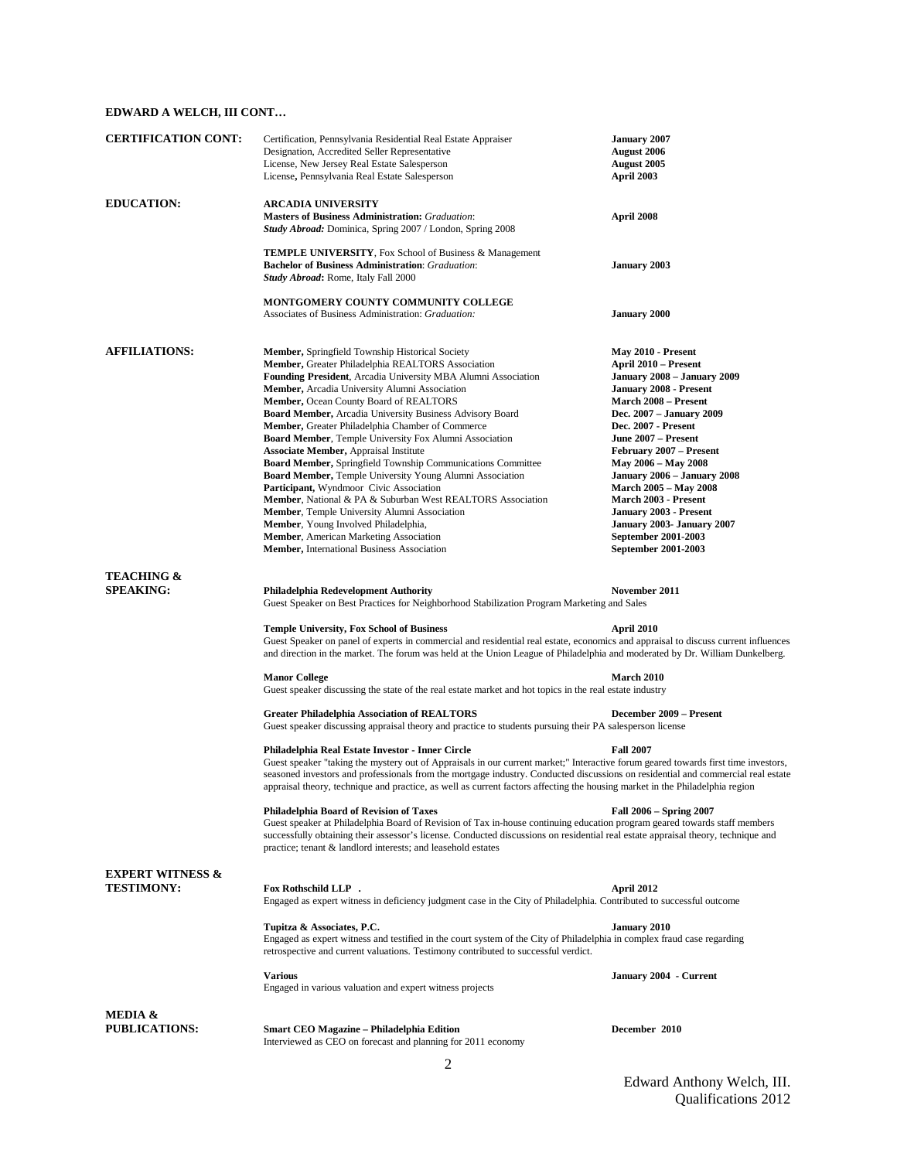## **EDWARD A WELCH, III CONT…**

| <b>CERTIFICATION CONT:</b>                       | Certification, Pennsylvania Residential Real Estate Appraiser<br>Designation, Accredited Seller Representative<br>License, New Jersey Real Estate Salesperson<br>License, Pennsylvania Real Estate Salesperson                                                                                                                                                                                                                                                                                                                                                                                                                                                                                                                                                                                                                                                                                                                                                                                                      | <b>January 2007</b><br><b>August 2006</b><br><b>August</b> 2005<br>April 2003                                                                                                                                                                                                                                                                                                                                                                                      |  |  |
|--------------------------------------------------|---------------------------------------------------------------------------------------------------------------------------------------------------------------------------------------------------------------------------------------------------------------------------------------------------------------------------------------------------------------------------------------------------------------------------------------------------------------------------------------------------------------------------------------------------------------------------------------------------------------------------------------------------------------------------------------------------------------------------------------------------------------------------------------------------------------------------------------------------------------------------------------------------------------------------------------------------------------------------------------------------------------------|--------------------------------------------------------------------------------------------------------------------------------------------------------------------------------------------------------------------------------------------------------------------------------------------------------------------------------------------------------------------------------------------------------------------------------------------------------------------|--|--|
| <b>EDUCATION:</b>                                | <b>ARCADIA UNIVERSITY</b><br><b>Masters of Business Administration: Graduation:</b><br><b>Study Abroad:</b> Dominica, Spring 2007 / London, Spring 2008                                                                                                                                                                                                                                                                                                                                                                                                                                                                                                                                                                                                                                                                                                                                                                                                                                                             | April 2008                                                                                                                                                                                                                                                                                                                                                                                                                                                         |  |  |
|                                                  | <b>TEMPLE UNIVERSITY, Fox School of Business &amp; Management</b><br><b>Bachelor of Business Administration:</b> Graduation:<br><b>Study Abroad: Rome, Italy Fall 2000</b>                                                                                                                                                                                                                                                                                                                                                                                                                                                                                                                                                                                                                                                                                                                                                                                                                                          | <b>January 2003</b>                                                                                                                                                                                                                                                                                                                                                                                                                                                |  |  |
|                                                  | MONTGOMERY COUNTY COMMUNITY COLLEGE<br>Associates of Business Administration: Graduation:                                                                                                                                                                                                                                                                                                                                                                                                                                                                                                                                                                                                                                                                                                                                                                                                                                                                                                                           | <b>January 2000</b>                                                                                                                                                                                                                                                                                                                                                                                                                                                |  |  |
| <b>AFFILIATIONS:</b>                             | <b>Member, Springfield Township Historical Society</b><br>Member, Greater Philadelphia REALTORS Association<br><b>Founding President</b> , Arcadia University MBA Alumni Association<br><b>Member, Arcadia University Alumni Association</b><br><b>Member, Ocean County Board of REALTORS</b><br><b>Board Member, Arcadia University Business Advisory Board</b><br>Member, Greater Philadelphia Chamber of Commerce<br><b>Board Member, Temple University Fox Alumni Association</b><br><b>Associate Member, Appraisal Institute</b><br><b>Board Member, Springfield Township Communications Committee</b><br><b>Board Member, Temple University Young Alumni Association</b><br>Participant, Wyndmoor Civic Association<br><b>Member, National &amp; PA &amp; Suburban West REALTORS Association</b><br><b>Member, Temple University Alumni Association</b><br><b>Member</b> , Young Involved Philadelphia,<br><b>Member, American Marketing Association</b><br><b>Member, International Business Association</b> | May 2010 - Present<br>April 2010 – Present<br>January 2008 – January 2009<br>January 2008 - Present<br><b>March 2008 – Present</b><br>Dec. 2007 – January 2009<br><b>Dec. 2007 - Present</b><br>June 2007 – Present<br>February 2007 - Present<br>May 2006 – May 2008<br>January 2006 – January 2008<br><b>March 2005 – May 2008</b><br>March 2003 - Present<br>January 2003 - Present<br>January 2003- January 2007<br>September 2001-2003<br>September 2001-2003 |  |  |
| <b>TEACHING &amp;</b><br><b>SPEAKING:</b>        | Philadelphia Redevelopment Authority<br>November 2011<br>Guest Speaker on Best Practices for Neighborhood Stabilization Program Marketing and Sales<br><b>Temple University, Fox School of Business</b><br>April 2010                                                                                                                                                                                                                                                                                                                                                                                                                                                                                                                                                                                                                                                                                                                                                                                               |                                                                                                                                                                                                                                                                                                                                                                                                                                                                    |  |  |
|                                                  | Guest Speaker on panel of experts in commercial and residential real estate, economics and appraisal to discuss current influences<br>and direction in the market. The forum was held at the Union League of Philadelphia and moderated by Dr. William Dunkelberg.<br><b>Manor College</b>                                                                                                                                                                                                                                                                                                                                                                                                                                                                                                                                                                                                                                                                                                                          | <b>March 2010</b>                                                                                                                                                                                                                                                                                                                                                                                                                                                  |  |  |
|                                                  | Guest speaker discussing the state of the real estate market and hot topics in the real estate industry<br><b>Greater Philadelphia Association of REALTORS</b>                                                                                                                                                                                                                                                                                                                                                                                                                                                                                                                                                                                                                                                                                                                                                                                                                                                      | December 2009 - Present                                                                                                                                                                                                                                                                                                                                                                                                                                            |  |  |
|                                                  | Guest speaker discussing appraisal theory and practice to students pursuing their PA salesperson license<br>Philadelphia Real Estate Investor - Inner Circle<br>Guest speaker "taking the mystery out of Appraisals in our current market;" Interactive forum geared towards first time investors,<br>seasoned investors and professionals from the mortgage industry. Conducted discussions on residential and commercial real estate<br>appraisal theory, technique and practice, as well as current factors affecting the housing market in the Philadelphia region<br><b>Philadelphia Board of Revision of Taxes</b><br>Guest speaker at Philadelphia Board of Revision of Tax in-house continuing education program geared towards staff members<br>successfully obtaining their assessor's license. Conducted discussions on residential real estate appraisal theory, technique and<br>practice; tenant & landlord interests; and leasehold estates                                                          | <b>Fall 2007</b><br>Fall 2006 – Spring 2007                                                                                                                                                                                                                                                                                                                                                                                                                        |  |  |
| <b>EXPERT WITNESS &amp;</b><br><b>TESTIMONY:</b> | <b>Fox Rothschild LLP.</b><br>Engaged as expert witness in deficiency judgment case in the City of Philadelphia. Contributed to successful outcome                                                                                                                                                                                                                                                                                                                                                                                                                                                                                                                                                                                                                                                                                                                                                                                                                                                                  | April 2012                                                                                                                                                                                                                                                                                                                                                                                                                                                         |  |  |
|                                                  | Tupitza & Associates, P.C.<br>Engaged as expert witness and testified in the court system of the City of Philadelphia in complex fraud case regarding<br>retrospective and current valuations. Testimony contributed to successful verdict.                                                                                                                                                                                                                                                                                                                                                                                                                                                                                                                                                                                                                                                                                                                                                                         | January 2010                                                                                                                                                                                                                                                                                                                                                                                                                                                       |  |  |
|                                                  | <b>Various</b><br>Engaged in various valuation and expert witness projects                                                                                                                                                                                                                                                                                                                                                                                                                                                                                                                                                                                                                                                                                                                                                                                                                                                                                                                                          | January 2004 - Current                                                                                                                                                                                                                                                                                                                                                                                                                                             |  |  |
| MEDIA &<br><b>PUBLICATIONS:</b>                  | Smart CEO Magazine - Philadelphia Edition<br>Interviewed as CEO on forecast and planning for 2011 economy                                                                                                                                                                                                                                                                                                                                                                                                                                                                                                                                                                                                                                                                                                                                                                                                                                                                                                           | December 2010                                                                                                                                                                                                                                                                                                                                                                                                                                                      |  |  |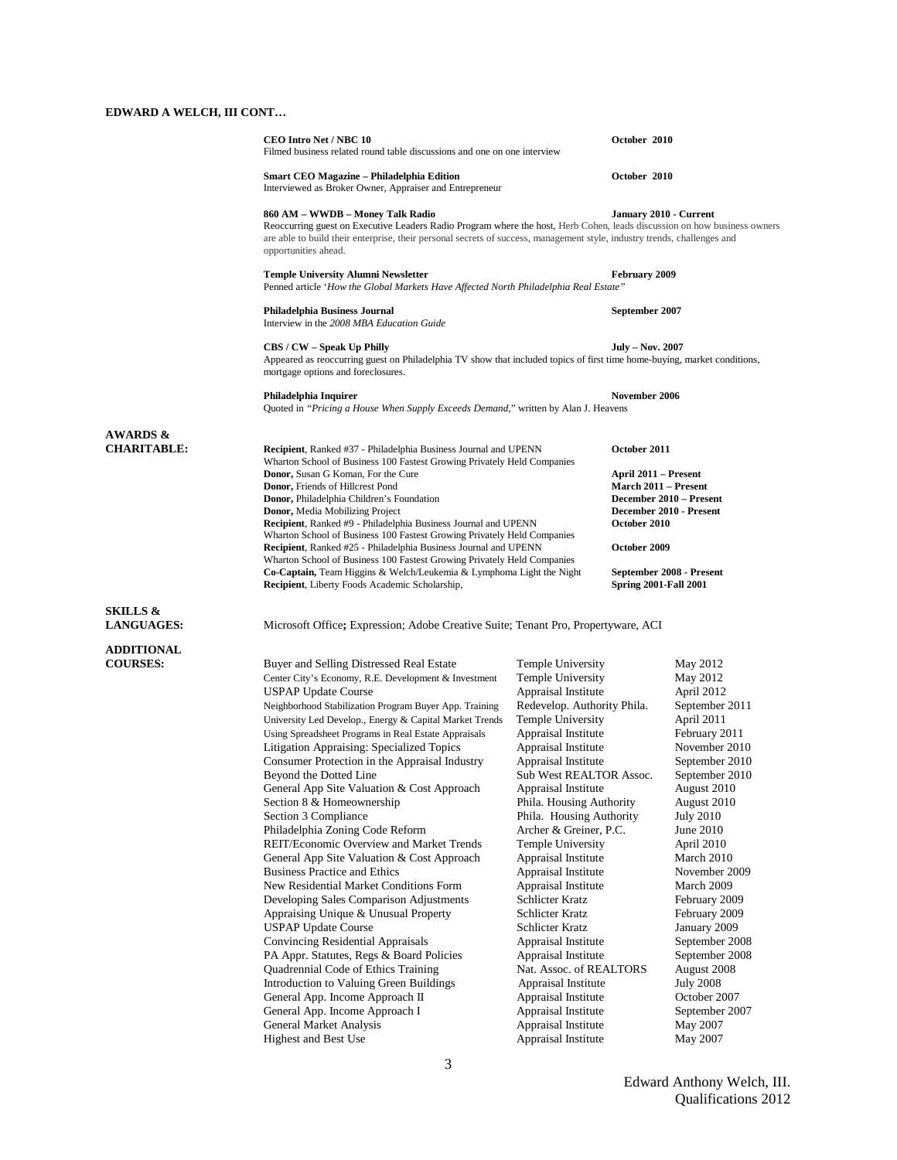# **EDWARD A WELCH, III CONT…**

|                                           | <b>CEO Intro Net / NBC 10</b><br>Filmed business related round table discussions and one on one interview                                                                                                                                                                                                        |                                                                                                                                                    | October 2010                 |                                      |  |
|-------------------------------------------|------------------------------------------------------------------------------------------------------------------------------------------------------------------------------------------------------------------------------------------------------------------------------------------------------------------|----------------------------------------------------------------------------------------------------------------------------------------------------|------------------------------|--------------------------------------|--|
|                                           | Smart CEO Magazine – Philadelphia Edition<br>Interviewed as Broker Owner, Appraiser and Entrepreneur                                                                                                                                                                                                             |                                                                                                                                                    | October 2010                 |                                      |  |
|                                           | 860 AM – WWDB – Money Talk Radio<br>Reoccurring guest on Executive Leaders Radio Program where the host, Herb Cohen, leads discussion on how business owners<br>are able to build their enterprise, their personal secrets of success, management style, industry trends, challenges and<br>opportunities ahead. |                                                                                                                                                    | January 2010 - Current       |                                      |  |
|                                           | <b>Temple University Alumni Newsletter</b><br>Penned article 'How the Global Markets Have Affected North Philadelphia Real Estate"                                                                                                                                                                               |                                                                                                                                                    | February 2009                |                                      |  |
|                                           | Philadelphia Business Journal<br>Interview in the 2008 MBA Education Guide                                                                                                                                                                                                                                       |                                                                                                                                                    | September 2007               |                                      |  |
|                                           | CBS / CW - Speak Up Philly<br>mortgage options and foreclosures.                                                                                                                                                                                                                                                 | Appeared as reoccurring guest on Philadelphia TV show that included topics of first time home-buying, market conditions,                           |                              | <b>July – Nov. 2007</b>              |  |
|                                           | Philadelphia Inquirer<br>Quoted in "Pricing a House When Supply Exceeds Demand," written by Alan J. Heavens                                                                                                                                                                                                      |                                                                                                                                                    | November 2006                |                                      |  |
|                                           |                                                                                                                                                                                                                                                                                                                  |                                                                                                                                                    |                              |                                      |  |
| <b>AWARDS &amp;</b><br><b>CHARITABLE:</b> | <b>Donor,</b> Susan G Koman, For the Cure                                                                                                                                                                                                                                                                        | <b>Recipient</b> , Ranked #37 - Philadelphia Business Journal and UPENN<br>Wharton School of Business 100 Fastest Growing Privately Held Companies |                              | October 2011<br>April 2011 – Present |  |
|                                           | Donor, Friends of Hillcrest Pond                                                                                                                                                                                                                                                                                 |                                                                                                                                                    |                              | March 2011 – Present                 |  |
|                                           | <b>Donor</b> , Philadelphia Children's Foundation                                                                                                                                                                                                                                                                |                                                                                                                                                    |                              | December 2010 - Present              |  |
|                                           | <b>Donor, Media Mobilizing Project</b><br>Recipient, Ranked #9 - Philadelphia Business Journal and UPENN                                                                                                                                                                                                         | December 2010 - Present                                                                                                                            |                              |                                      |  |
|                                           |                                                                                                                                                                                                                                                                                                                  | October 2010<br>Wharton School of Business 100 Fastest Growing Privately Held Companies                                                            |                              |                                      |  |
|                                           | Recipient, Ranked #25 - Philadelphia Business Journal and UPENN                                                                                                                                                                                                                                                  |                                                                                                                                                    | October 2009                 |                                      |  |
|                                           | Wharton School of Business 100 Fastest Growing Privately Held Companies                                                                                                                                                                                                                                          |                                                                                                                                                    |                              |                                      |  |
|                                           | <b>Co-Captain,</b> Team Higgins & Welch/Leukemia & Lymphoma Light the Night<br><b>Recipient</b> , Liberty Foods Academic Scholarship,                                                                                                                                                                            |                                                                                                                                                    | <b>Spring 2001-Fall 2001</b> | September 2008 - Present             |  |
|                                           |                                                                                                                                                                                                                                                                                                                  |                                                                                                                                                    |                              |                                      |  |
| <b>SKILLS &amp;</b><br><b>LANGUAGES:</b>  | Microsoft Office; Expression; Adobe Creative Suite; Tenant Pro, Propertyware, ACI                                                                                                                                                                                                                                |                                                                                                                                                    |                              |                                      |  |
| <b>ADDITIONAL</b>                         |                                                                                                                                                                                                                                                                                                                  |                                                                                                                                                    |                              |                                      |  |
| <b>COURSES:</b>                           | Buyer and Selling Distressed Real Estate                                                                                                                                                                                                                                                                         | Temple University                                                                                                                                  |                              | May 2012                             |  |
|                                           | Center City's Economy, R.E. Development & Investment                                                                                                                                                                                                                                                             | Temple University                                                                                                                                  |                              | May 2012                             |  |
|                                           | USPAP Update Course                                                                                                                                                                                                                                                                                              | Appraisal Institute                                                                                                                                |                              | April 2012                           |  |
|                                           | Neighborhood Stabilization Program Buyer App. Training                                                                                                                                                                                                                                                           | Redevelop. Authority Phila.                                                                                                                        |                              | September 2011                       |  |
|                                           | University Led Develop., Energy & Capital Market Trends                                                                                                                                                                                                                                                          | <b>Temple University</b>                                                                                                                           |                              | April 2011                           |  |
|                                           | Using Spreadsheet Programs in Real Estate Appraisals                                                                                                                                                                                                                                                             | Appraisal Institute                                                                                                                                |                              | February 2011                        |  |
|                                           | Litigation Appraising: Specialized Topics                                                                                                                                                                                                                                                                        | Appraisal Institute                                                                                                                                |                              | November 2010                        |  |
|                                           | Consumer Protection in the Appraisal Industry                                                                                                                                                                                                                                                                    | Appraisal Institute                                                                                                                                |                              | September 2010                       |  |
|                                           | Beyond the Dotted Line                                                                                                                                                                                                                                                                                           | Sub West REALTOR Assoc.                                                                                                                            |                              | September 2010                       |  |
|                                           | General App Site Valuation & Cost Approach                                                                                                                                                                                                                                                                       | Appraisal Institute                                                                                                                                |                              | August 2010                          |  |
|                                           | Section 8 & Homeownership<br>Section 3 Compliance                                                                                                                                                                                                                                                                | Phila. Housing Authority                                                                                                                           |                              | August 2010                          |  |
|                                           | Philadelphia Zoning Code Reform                                                                                                                                                                                                                                                                                  | Phila. Housing Authority<br>Archer & Greiner, P.C.                                                                                                 |                              | <b>July 2010</b><br>June 2010        |  |
|                                           | REIT/Economic Overview and Market Trends                                                                                                                                                                                                                                                                         | Temple University                                                                                                                                  |                              | April 2010                           |  |
|                                           | General App Site Valuation & Cost Approach                                                                                                                                                                                                                                                                       | Appraisal Institute                                                                                                                                |                              | March 2010                           |  |
|                                           | <b>Business Practice and Ethics</b>                                                                                                                                                                                                                                                                              | Appraisal Institute                                                                                                                                |                              | November 2009                        |  |
|                                           | New Residential Market Conditions Form                                                                                                                                                                                                                                                                           | Appraisal Institute                                                                                                                                |                              | March 2009                           |  |
|                                           | Developing Sales Comparison Adjustments                                                                                                                                                                                                                                                                          | Schlicter Kratz                                                                                                                                    |                              | February 2009                        |  |
|                                           | Appraising Unique & Unusual Property                                                                                                                                                                                                                                                                             | Schlicter Kratz                                                                                                                                    |                              | February 2009                        |  |
|                                           | <b>USPAP Update Course</b>                                                                                                                                                                                                                                                                                       | Schlicter Kratz                                                                                                                                    |                              | January 2009                         |  |
|                                           | Convincing Residential Appraisals                                                                                                                                                                                                                                                                                | Appraisal Institute                                                                                                                                |                              | September 2008                       |  |
|                                           | PA Appr. Statutes, Regs & Board Policies                                                                                                                                                                                                                                                                         | Appraisal Institute                                                                                                                                |                              | September 2008                       |  |
|                                           | Quadrennial Code of Ethics Training                                                                                                                                                                                                                                                                              | Nat. Assoc. of REALTORS                                                                                                                            |                              | August 2008                          |  |
|                                           | Introduction to Valuing Green Buildings                                                                                                                                                                                                                                                                          | Appraisal Institute                                                                                                                                |                              | <b>July 2008</b>                     |  |
|                                           | General App. Income Approach II                                                                                                                                                                                                                                                                                  | Appraisal Institute                                                                                                                                |                              | October 2007                         |  |
|                                           | General App. Income Approach I                                                                                                                                                                                                                                                                                   | Appraisal Institute                                                                                                                                |                              | September 2007                       |  |
|                                           | General Market Analysis                                                                                                                                                                                                                                                                                          | Appraisal Institute                                                                                                                                |                              | May 2007                             |  |

Highest and Best Use Appraisal Institute May 2007